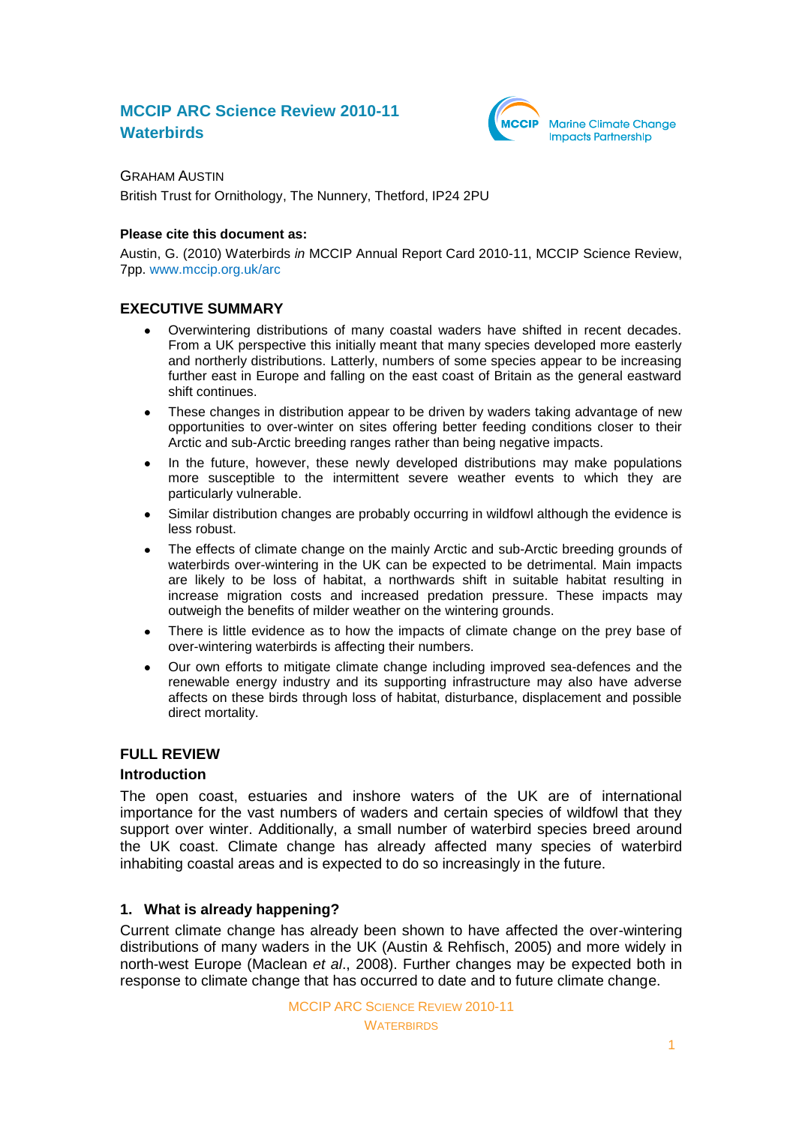# **MCCIP ARC Science Review 2010-11 Waterbirds**



GRAHAM AUSTIN British Trust for Ornithology, The Nunnery, Thetford, IP24 2PU

#### **Please cite this document as:**

Austin, G. (2010) Waterbirds *in* MCCIP Annual Report Card 2010-11, MCCIP Science Review, 7pp. [www.mccip.org.uk/arc](http://www.mccip.org.uk/arc)

# **EXECUTIVE SUMMARY**

- Overwintering distributions of many coastal waders have shifted in recent decades. From a UK perspective this initially meant that many species developed more easterly and northerly distributions. Latterly, numbers of some species appear to be increasing further east in Europe and falling on the east coast of Britain as the general eastward shift continues.
- These changes in distribution appear to be driven by waders taking advantage of new  $\bullet$ opportunities to over-winter on sites offering better feeding conditions closer to their Arctic and sub-Arctic breeding ranges rather than being negative impacts.
- In the future, however, these newly developed distributions may make populations  $\bullet$ more susceptible to the intermittent severe weather events to which they are particularly vulnerable.
- Similar distribution changes are probably occurring in wildfowl although the evidence is less robust.
- The effects of climate change on the mainly Arctic and sub-Arctic breeding grounds of  $\bullet$ waterbirds over-wintering in the UK can be expected to be detrimental. Main impacts are likely to be loss of habitat, a northwards shift in suitable habitat resulting in increase migration costs and increased predation pressure. These impacts may outweigh the benefits of milder weather on the wintering grounds.
- There is little evidence as to how the impacts of climate change on the prey base of over-wintering waterbirds is affecting their numbers.
- Our own efforts to mitigate climate change including improved sea-defences and the  $\bullet$ renewable energy industry and its supporting infrastructure may also have adverse affects on these birds through loss of habitat, disturbance, displacement and possible direct mortality.

# **FULL REVIEW**

# **Introduction**

The open coast, estuaries and inshore waters of the UK are of international importance for the vast numbers of waders and certain species of wildfowl that they support over winter. Additionally, a small number of waterbird species breed around the UK coast. Climate change has already affected many species of waterbird inhabiting coastal areas and is expected to do so increasingly in the future.

# **1. What is already happening?**

Current climate change has already been shown to have affected the over-wintering distributions of many waders in the UK (Austin & Rehfisch, 2005) and more widely in north-west Europe (Maclean *et al*., 2008). Further changes may be expected both in response to climate change that has occurred to date and to future climate change.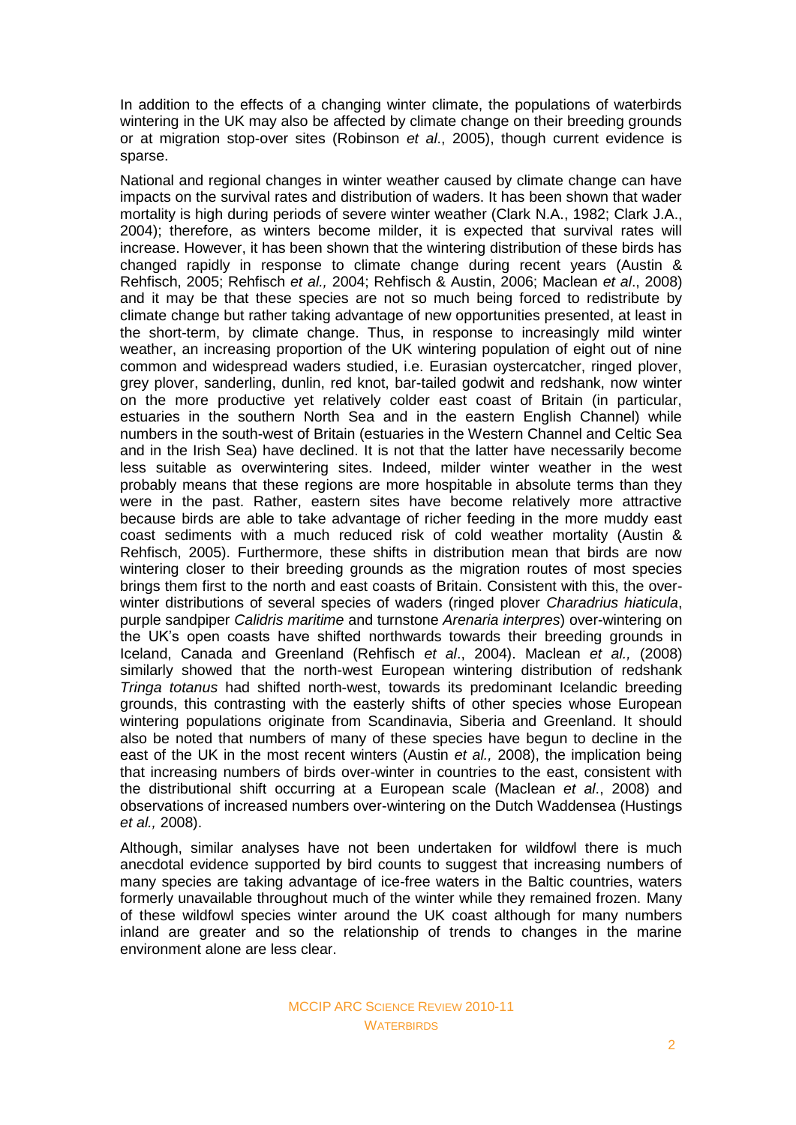In addition to the effects of a changing winter climate, the populations of waterbirds wintering in the UK may also be affected by climate change on their breeding grounds or at migration stop-over sites (Robinson *et al*., 2005), though current evidence is sparse.

National and regional changes in winter weather caused by climate change can have impacts on the survival rates and distribution of waders. It has been shown that wader mortality is high during periods of severe winter weather (Clark N.A., 1982; Clark J.A., 2004); therefore, as winters become milder, it is expected that survival rates will increase. However, it has been shown that the wintering distribution of these birds has changed rapidly in response to climate change during recent years (Austin & Rehfisch, 2005; Rehfisch *et al.,* 2004; Rehfisch & Austin, 2006; Maclean *et al*., 2008) and it may be that these species are not so much being forced to redistribute by climate change but rather taking advantage of new opportunities presented, at least in the short-term, by climate change. Thus, in response to increasingly mild winter weather, an increasing proportion of the UK wintering population of eight out of nine common and widespread waders studied, i.e. Eurasian oystercatcher, ringed plover, grey plover, sanderling, dunlin, red knot, bar-tailed godwit and redshank, now winter on the more productive yet relatively colder east coast of Britain (in particular, estuaries in the southern North Sea and in the eastern English Channel) while numbers in the south-west of Britain (estuaries in the Western Channel and Celtic Sea and in the Irish Sea) have declined. It is not that the latter have necessarily become less suitable as overwintering sites. Indeed, milder winter weather in the west probably means that these regions are more hospitable in absolute terms than they were in the past. Rather, eastern sites have become relatively more attractive because birds are able to take advantage of richer feeding in the more muddy east coast sediments with a much reduced risk of cold weather mortality (Austin & Rehfisch, 2005). Furthermore, these shifts in distribution mean that birds are now wintering closer to their breeding grounds as the migration routes of most species brings them first to the north and east coasts of Britain. Consistent with this, the overwinter distributions of several species of waders (ringed plover *Charadrius hiaticula*, purple sandpiper *Calidris maritime* and turnstone *Arenaria interpres*) over-wintering on the UK's open coasts have shifted northwards towards their breeding grounds in Iceland, Canada and Greenland (Rehfisch *et al*., 2004). Maclean *et al.,* (2008) similarly showed that the north-west European wintering distribution of redshank *Tringa totanus* had shifted north-west, towards its predominant Icelandic breeding grounds, this contrasting with the easterly shifts of other species whose European wintering populations originate from Scandinavia, Siberia and Greenland. It should also be noted that numbers of many of these species have begun to decline in the east of the UK in the most recent winters (Austin *et al.,* 2008), the implication being that increasing numbers of birds over-winter in countries to the east, consistent with the distributional shift occurring at a European scale (Maclean *et al*., 2008) and observations of increased numbers over-wintering on the Dutch Waddensea (Hustings *et al.,* 2008).

Although, similar analyses have not been undertaken for wildfowl there is much anecdotal evidence supported by bird counts to suggest that increasing numbers of many species are taking advantage of ice-free waters in the Baltic countries, waters formerly unavailable throughout much of the winter while they remained frozen. Many of these wildfowl species winter around the UK coast although for many numbers inland are greater and so the relationship of trends to changes in the marine environment alone are less clear.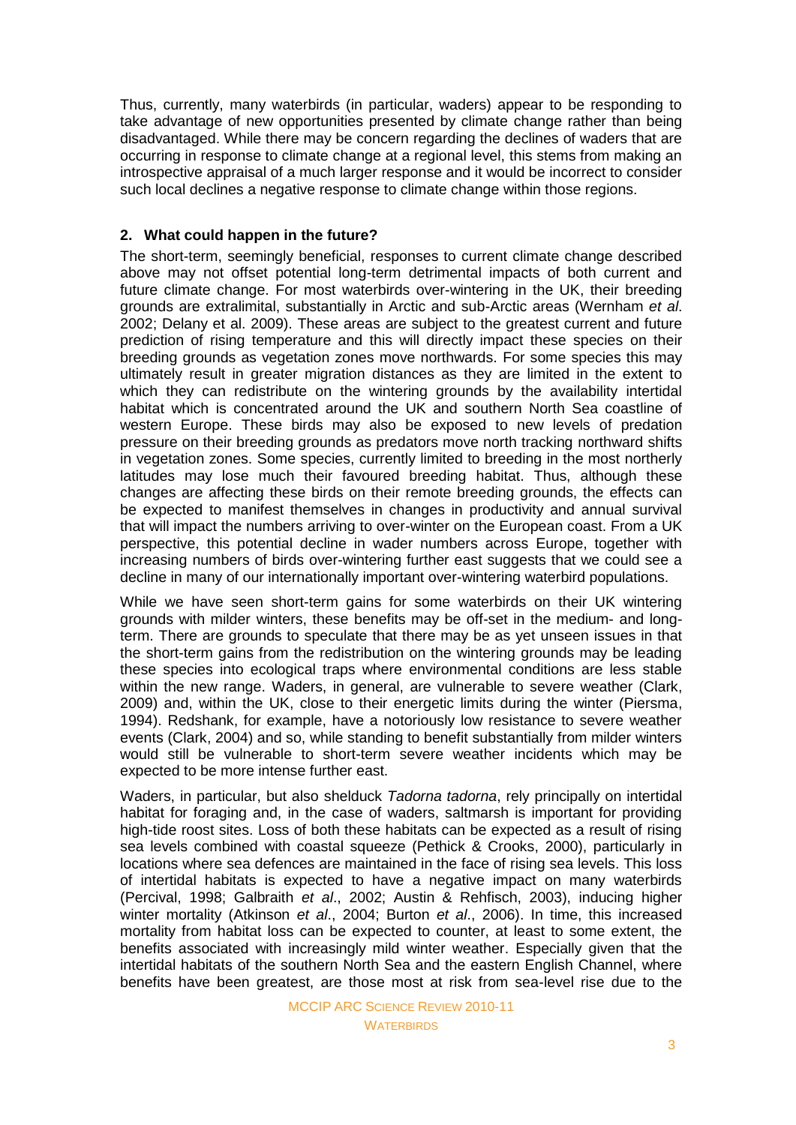Thus, currently, many waterbirds (in particular, waders) appear to be responding to take advantage of new opportunities presented by climate change rather than being disadvantaged. While there may be concern regarding the declines of waders that are occurring in response to climate change at a regional level, this stems from making an introspective appraisal of a much larger response and it would be incorrect to consider such local declines a negative response to climate change within those regions.

# **2. What could happen in the future?**

The short-term, seemingly beneficial, responses to current climate change described above may not offset potential long-term detrimental impacts of both current and future climate change. For most waterbirds over-wintering in the UK, their breeding grounds are extralimital, substantially in Arctic and sub-Arctic areas (Wernham *et al*. 2002; Delany et al. 2009). These areas are subject to the greatest current and future prediction of rising temperature and this will directly impact these species on their breeding grounds as vegetation zones move northwards. For some species this may ultimately result in greater migration distances as they are limited in the extent to which they can redistribute on the wintering grounds by the availability intertidal habitat which is concentrated around the UK and southern North Sea coastline of western Europe. These birds may also be exposed to new levels of predation pressure on their breeding grounds as predators move north tracking northward shifts in vegetation zones. Some species, currently limited to breeding in the most northerly latitudes may lose much their favoured breeding habitat. Thus, although these changes are affecting these birds on their remote breeding grounds, the effects can be expected to manifest themselves in changes in productivity and annual survival that will impact the numbers arriving to over-winter on the European coast. From a UK perspective, this potential decline in wader numbers across Europe, together with increasing numbers of birds over-wintering further east suggests that we could see a decline in many of our internationally important over-wintering waterbird populations.

While we have seen short-term gains for some waterbirds on their UK wintering grounds with milder winters, these benefits may be off-set in the medium- and longterm. There are grounds to speculate that there may be as yet unseen issues in that the short-term gains from the redistribution on the wintering grounds may be leading these species into ecological traps where environmental conditions are less stable within the new range. Waders, in general, are vulnerable to severe weather (Clark, 2009) and, within the UK, close to their energetic limits during the winter (Piersma, 1994). Redshank, for example, have a notoriously low resistance to severe weather events (Clark, 2004) and so, while standing to benefit substantially from milder winters would still be vulnerable to short-term severe weather incidents which may be expected to be more intense further east.

Waders, in particular, but also shelduck *Tadorna tadorna*, rely principally on intertidal habitat for foraging and, in the case of waders, saltmarsh is important for providing high-tide roost sites. Loss of both these habitats can be expected as a result of rising sea levels combined with coastal squeeze (Pethick & Crooks, 2000), particularly in locations where sea defences are maintained in the face of rising sea levels. This loss of intertidal habitats is expected to have a negative impact on many waterbirds (Percival, 1998; Galbraith *et al*., 2002; Austin & Rehfisch, 2003), inducing higher winter mortality (Atkinson *et al*., 2004; Burton *et al*., 2006). In time, this increased mortality from habitat loss can be expected to counter, at least to some extent, the benefits associated with increasingly mild winter weather. Especially given that the intertidal habitats of the southern North Sea and the eastern English Channel, where benefits have been greatest, are those most at risk from sea-level rise due to the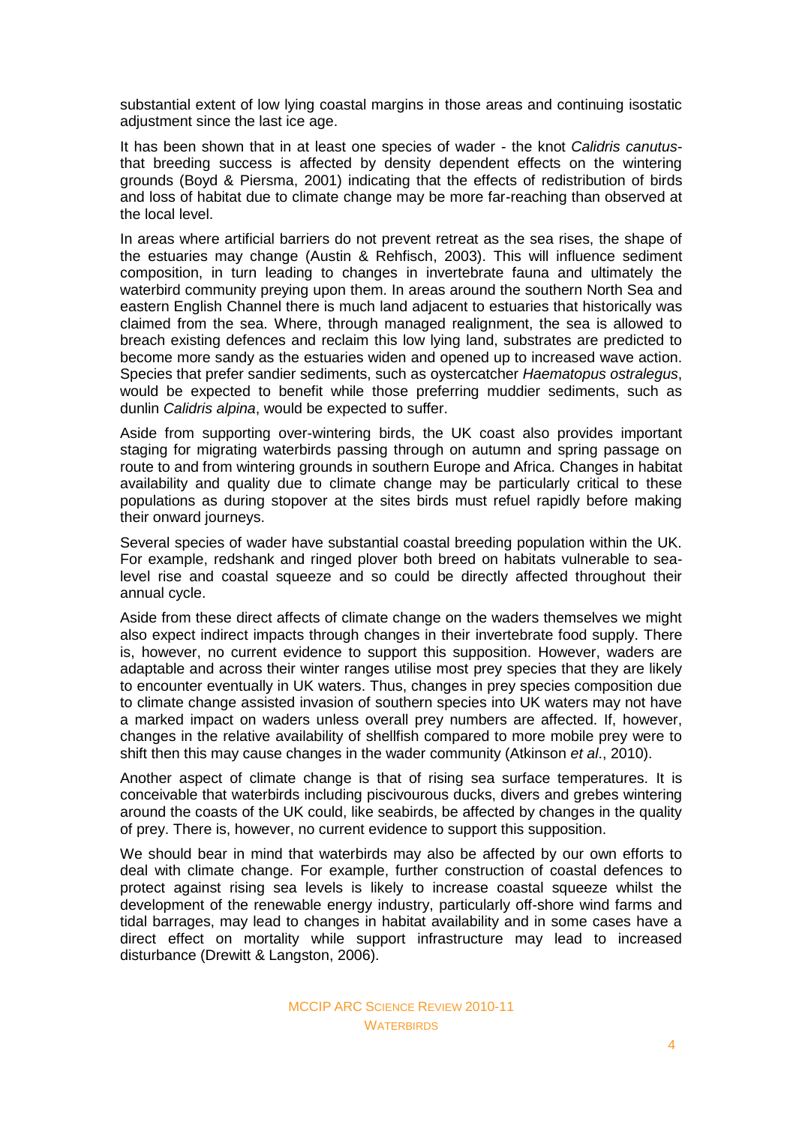substantial extent of low lying coastal margins in those areas and continuing isostatic adjustment since the last ice age.

It has been shown that in at least one species of wader - the knot *Calidris canutus*that breeding success is affected by density dependent effects on the wintering grounds (Boyd & Piersma, 2001) indicating that the effects of redistribution of birds and loss of habitat due to climate change may be more far-reaching than observed at the local level.

In areas where artificial barriers do not prevent retreat as the sea rises, the shape of the estuaries may change (Austin & Rehfisch, 2003). This will influence sediment composition, in turn leading to changes in invertebrate fauna and ultimately the waterbird community preying upon them. In areas around the southern North Sea and eastern English Channel there is much land adjacent to estuaries that historically was claimed from the sea. Where, through managed realignment, the sea is allowed to breach existing defences and reclaim this low lying land, substrates are predicted to become more sandy as the estuaries widen and opened up to increased wave action. Species that prefer sandier sediments, such as oystercatcher *Haematopus ostralegus*, would be expected to benefit while those preferring muddier sediments, such as dunlin *Calidris alpina*, would be expected to suffer.

Aside from supporting over-wintering birds, the UK coast also provides important staging for migrating waterbirds passing through on autumn and spring passage on route to and from wintering grounds in southern Europe and Africa. Changes in habitat availability and quality due to climate change may be particularly critical to these populations as during stopover at the sites birds must refuel rapidly before making their onward journeys.

Several species of wader have substantial coastal breeding population within the UK. For example, redshank and ringed plover both breed on habitats vulnerable to sealevel rise and coastal squeeze and so could be directly affected throughout their annual cycle.

Aside from these direct affects of climate change on the waders themselves we might also expect indirect impacts through changes in their invertebrate food supply. There is, however, no current evidence to support this supposition. However, waders are adaptable and across their winter ranges utilise most prey species that they are likely to encounter eventually in UK waters. Thus, changes in prey species composition due to climate change assisted invasion of southern species into UK waters may not have a marked impact on waders unless overall prey numbers are affected. If, however, changes in the relative availability of shellfish compared to more mobile prey were to shift then this may cause changes in the wader community (Atkinson *et al*., 2010).

Another aspect of climate change is that of rising sea surface temperatures. It is conceivable that waterbirds including piscivourous ducks, divers and grebes wintering around the coasts of the UK could, like seabirds, be affected by changes in the quality of prey. There is, however, no current evidence to support this supposition.

We should bear in mind that waterbirds may also be affected by our own efforts to deal with climate change. For example, further construction of coastal defences to protect against rising sea levels is likely to increase coastal squeeze whilst the development of the renewable energy industry, particularly off-shore wind farms and tidal barrages, may lead to changes in habitat availability and in some cases have a direct effect on mortality while support infrastructure may lead to increased disturbance (Drewitt & Langston, 2006).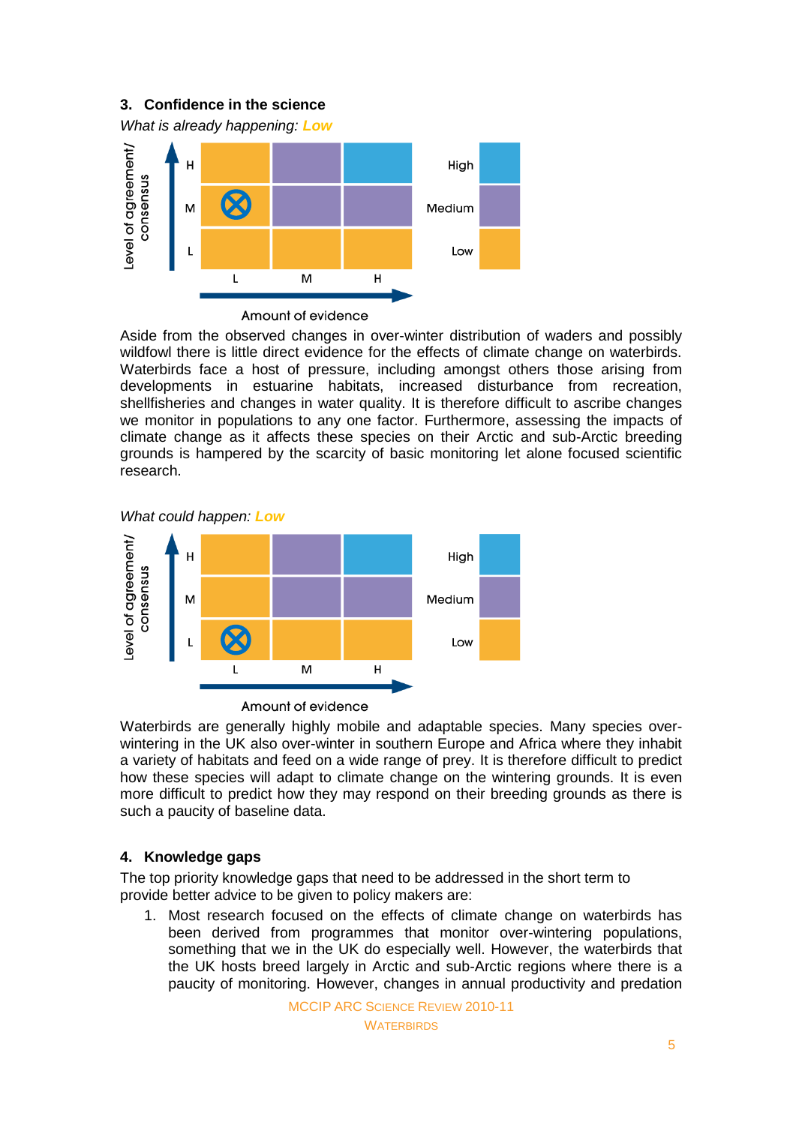# **3. Confidence in the science**

*What is already happening: Low*



Amount of evidence

Aside from the observed changes in over-winter distribution of waders and possibly wildfowl there is little direct evidence for the effects of climate change on waterbirds. Waterbirds face a host of pressure, including amongst others those arising from developments in estuarine habitats, increased disturbance from recreation, shellfisheries and changes in water quality. It is therefore difficult to ascribe changes we monitor in populations to any one factor. Furthermore, assessing the impacts of climate change as it affects these species on their Arctic and sub-Arctic breeding grounds is hampered by the scarcity of basic monitoring let alone focused scientific research.

*What could happen: Low*



Amount of evidence

Waterbirds are generally highly mobile and adaptable species. Many species overwintering in the UK also over-winter in southern Europe and Africa where they inhabit a variety of habitats and feed on a wide range of prey. It is therefore difficult to predict how these species will adapt to climate change on the wintering grounds. It is even more difficult to predict how they may respond on their breeding grounds as there is such a paucity of baseline data.

# **4. Knowledge gaps**

The top priority knowledge gaps that need to be addressed in the short term to provide better advice to be given to policy makers are:

1. Most research focused on the effects of climate change on waterbirds has been derived from programmes that monitor over-wintering populations, something that we in the UK do especially well. However, the waterbirds that the UK hosts breed largely in Arctic and sub-Arctic regions where there is a paucity of monitoring. However, changes in annual productivity and predation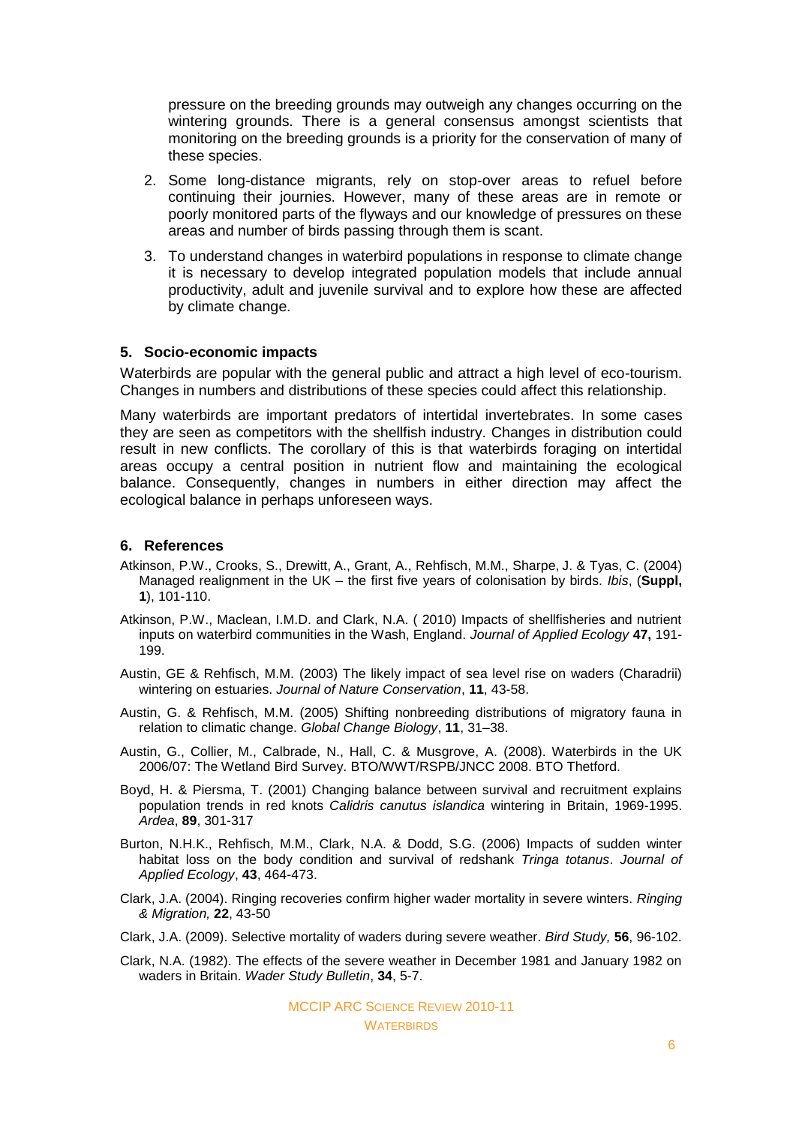pressure on the breeding grounds may outweigh any changes occurring on the wintering grounds. There is a general consensus amongst scientists that monitoring on the breeding grounds is a priority for the conservation of many of these species.

- 2. Some long-distance migrants, rely on stop-over areas to refuel before continuing their journies. However, many of these areas are in remote or poorly monitored parts of the flyways and our knowledge of pressures on these areas and number of birds passing through them is scant.
- 3. To understand changes in waterbird populations in response to climate change it is necessary to develop integrated population models that include annual productivity, adult and juvenile survival and to explore how these are affected by climate change.

#### **5. Socio-economic impacts**

Waterbirds are popular with the general public and attract a high level of eco-tourism. Changes in numbers and distributions of these species could affect this relationship.

Many waterbirds are important predators of intertidal invertebrates. In some cases they are seen as competitors with the shellfish industry. Changes in distribution could result in new conflicts. The corollary of this is that waterbirds foraging on intertidal areas occupy a central position in nutrient flow and maintaining the ecological balance. Consequently, changes in numbers in either direction may affect the ecological balance in perhaps unforeseen ways.

#### **6. References**

- Atkinson, P.W., Crooks, S., Drewitt, A., Grant, A., Rehfisch, M.M., Sharpe, J. & Tyas, C. (2004) Managed realignment in the UK – the first five years of colonisation by birds. *Ibis*, (**Suppl, 1**), 101-110.
- Atkinson, P.W., Maclean, I.M.D. and Clark, N.A. ( 2010) Impacts of shellfisheries and nutrient inputs on waterbird communities in the Wash, England. *Journal of Applied Ecology* **47,** 191- 199.
- Austin, GE & Rehfisch, M.M. (2003) The likely impact of sea level rise on waders (Charadrii) wintering on estuaries. *Journal of Nature Conservation*, **11**, 43-58.
- Austin, G. & Rehfisch, M.M. (2005) Shifting nonbreeding distributions of migratory fauna in relation to climatic change. *Global Change Biology*, **11**, 31–38.
- Austin, G., Collier, M., Calbrade, N., Hall, C. & Musgrove, A. (2008). Waterbirds in the UK 2006/07: The Wetland Bird Survey. BTO/WWT/RSPB/JNCC 2008. BTO Thetford.
- Boyd, H. & Piersma, T. (2001) Changing balance between survival and recruitment explains population trends in red knots *Calidris canutus islandica* wintering in Britain, 1969-1995. *Ardea*, **89**, 301-317
- Burton, N.H.K., Rehfisch, M.M., Clark, N.A. & Dodd, S.G. (2006) Impacts of sudden winter habitat loss on the body condition and survival of redshank *Tringa totanus*. *Journal of Applied Ecology*, **43**, 464-473.
- Clark, J.A. (2004). Ringing recoveries confirm higher wader mortality in severe winters. *Ringing & Migration,* **22**, 43-50
- Clark, J.A. (2009). Selective mortality of waders during severe weather. *Bird Study,* **56**, 96-102.
- Clark, N.A. (1982). The effects of the severe weather in December 1981 and January 1982 on waders in Britain. *Wader Study Bulletin*, **34**, 5-7.